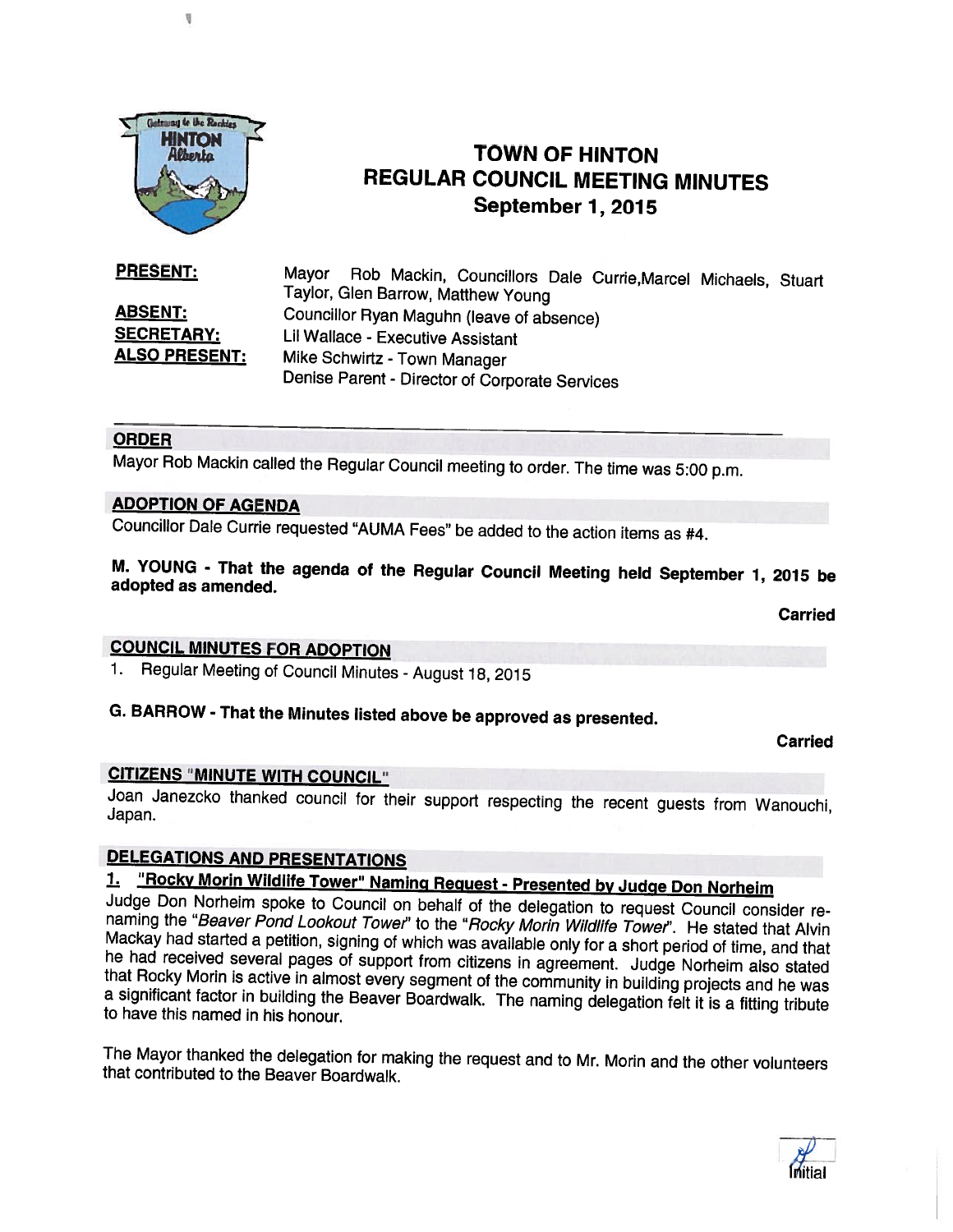

I

# TOWN OF HINTON REGULAR COUNCIL MEETING MINUTES September 1, 2015

**ABSENT:** Councillor Ryan Maguhn (leave of absence)<br>**SECRETARY:** Lil Wallace - Executive Assistant Lil Wallace - Executive Assistant ALSO PRESENT: Mike Schwirtz - Town Manager PRESENT:

Mayor Rob Mackin, Councillors Dale Currie,Marcel Michaels, Stuart Taylor, Glen Barrow, Matthew Young Denise Parent - Director of Corporate Services

#### ORDER

Mayor Rob Mackin called the Regular Council meeting to order. The time was 5:00 p.m.

#### ADOPTION OF AGENDA

Councillor Dale Currie requested "AU MA Fees" be added to the action items as #4.

M. YOUNG - That the agenda of the Regular Council Meeting held September 1, <sup>2015</sup> be adopted as amended.

Carried

#### COUNCIL MINUTES FOR ADOPTION

1. Regular Meeting of Council Minutes - August 18, <sup>2015</sup>

# G. BARROW - That the Minutes listed above be approved as presented.

**Carried** 

#### CITIZENS "MINUTE WITH COUNCIL"

Joan Janezcko thanked council for their support respecting the recent guests from Wanouchi, Japan.

# DELEGATIONS AND PRESENTATIONS<br>1. "Rocky Morin Wildlife Tower" Naming Request - Presented by Judge Don Norheim

Judge Don Norheim spoke to Council on behalf of the delegation to request Council consider re-<br>naming the "Beaver Pond Lookout Tower" to the "Rocky Morin Wildlife Tower". He stated that Alvin<br>Mackay had started a petition,

The Mayor thanked the delegation for making the request and to Mr. Morin and the other volunteers that contributed to the Beaver Boardwalk.

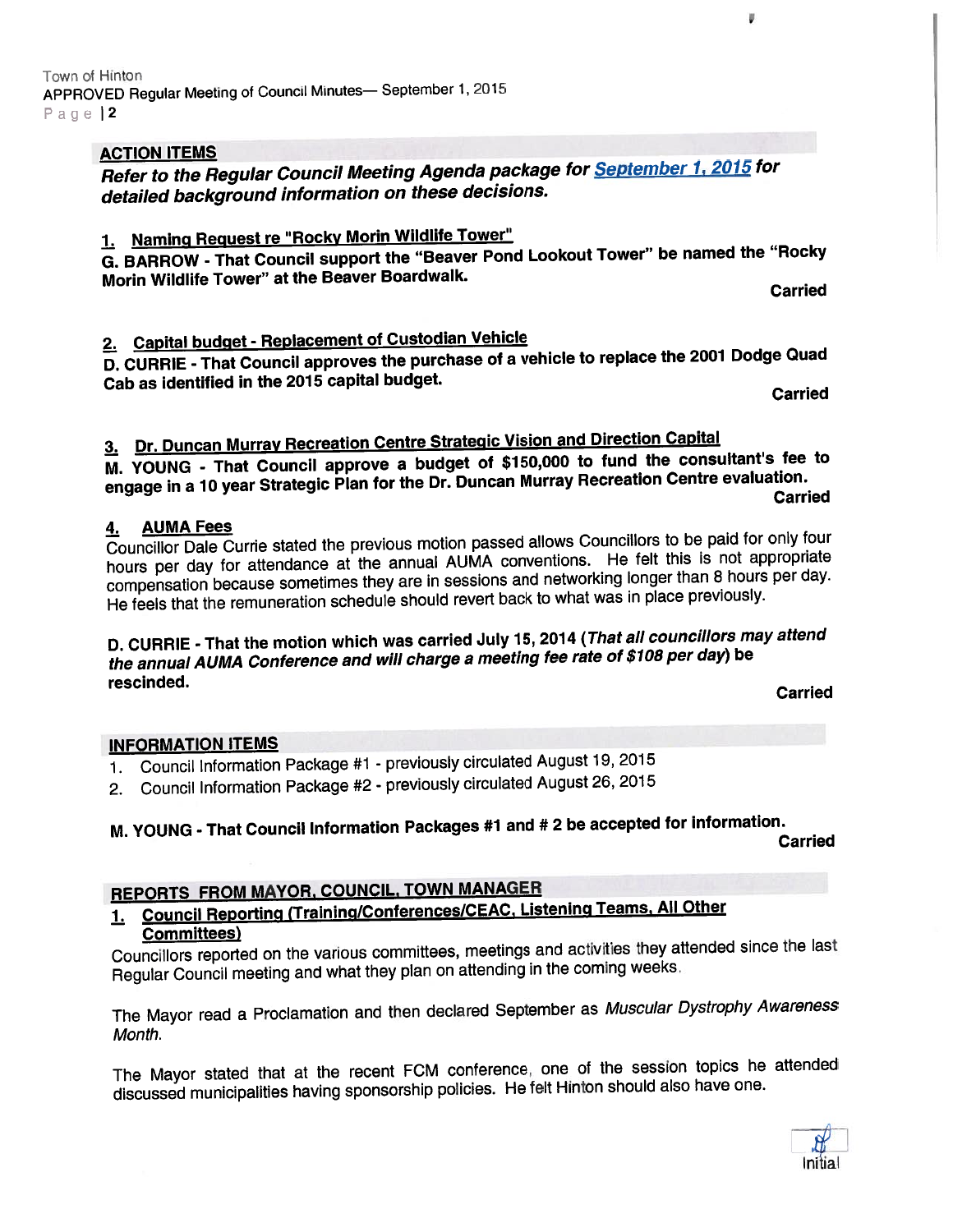#### **ACTION ITEMS**

Refer to the Regular Council Meeting Agenda package for September 1, <sup>2015</sup> for detailed background information on these decisions.

# 1. Naming Request re "Rocky Morin Wildlife Tower"

G. BARROW - That Council suppor<sup>t</sup> the "Beaver Pond Lookout Tower" be named the "Rocky Morin Wildlife Tower" at the Beaver Boardwalk.<br>Carried

¥

# 2. Capital budget - Replacement of Custodian Vehicle

0. CURRIE - That Council approves the purchase of <sup>a</sup> vehicle to replace the <sup>2001</sup> Dodge Quad Cab as identified in the <sup>2075</sup> capital budget. Carried

# 3. Dr. Duncan Murray Recreation Centre Strategic Vision and Direction Capital

M. YOUNG - That Council approve <sup>a</sup> budget of \$150,000 to fund the consultant's fee to engage in a 10 year Strategic Plan for the Dr. Duncan Murray Recreation Centre evaluation.<br>Carried

### 4. AUMA Fees

Councillor Dale Currie stated the previous motion passe<sup>d</sup> allows Councillors to be paid for only four hours per day for attendance at the annual AUMA conventions. He felt this is not appropriate compensation because sometimes they are in sessions and networking longer than <sup>8</sup> hours per day. He feels that the remuneration schedule should revert back to what was in <sup>p</sup>lace previously.

### D. CURRIE - That the motion which was carried July 75, <sup>2074</sup> (That all councillors may attend the annual AUMA Conference and will charge <sup>a</sup> meeting fee rate of \$708 per day) be rescinded. Carried

#### INFORMATION ITEMS

- 1. Council Information Package #1 previously circulated August 19, <sup>2015</sup>
- 2. Council Information Package #2 previously circulated August 26, <sup>2015</sup>

# M. YOUNG - That Council Information Packages #1 and #2 be accepted for information.<br>Carried

# REPORTS FROM MAYOR, COUNCIL, TOWN MANAGER

### 1. Council Reporting (Training/Conferences/CEAC, Listening Teams, All Other Committees)

Councillors reported on the various committees, meetings and activities they attended since the last Regular Council meeting and what they <sup>p</sup>lan on attending in the coming weeks.

The Mayor read <sup>a</sup> Proclamation and then declared September as Muscular Dystrophy Awareness Month.

The Mayor stated that at the recent FCM conference, one of the session topics he attended discussed municipalities having sponsorship policies. He felt Hinton should also have one.

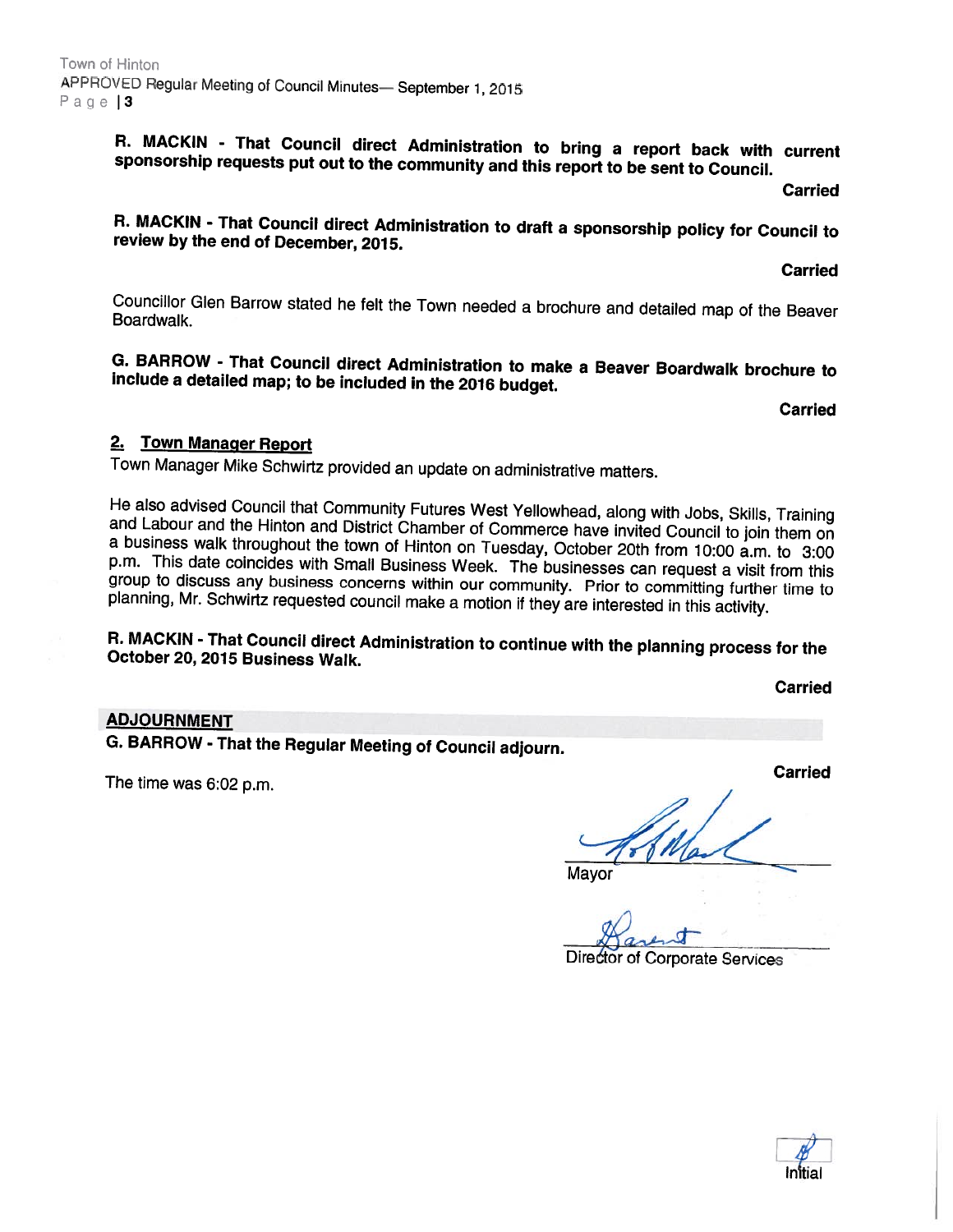R. MACKIN - That Council direct Administration to bring a report back with current sponsorship requests put out to the community and this report to be sent to Council.

**Carried** 

# R. MACKIN - That Council direct Administration to draft <sup>a</sup> sponsorship policy for Council to review by the end of December, 2075.

Carried

Councillor Glen Barrow stated he felt the Town needed a brochure and detailed map of the Beaver<br>Boardwalk.

G. BARROW - That Council direct Administration to make <sup>a</sup> Beaver Boardwalk brochure to include <sup>a</sup> detailed map; to be included in the <sup>2016</sup> budget.

**Carried** 

#### 2. Town Manager Report

Town Manager Mike Schwirtz provided an update on administrative matters.

He also advised Council that Community Futures West Yellowhead, along with Jobs, Skills, Training<br>and Labour and the Hinton and District Chamber of Commerce have invited Council to join them on<br>a business walk throughout t group to discuss any business concerns within our community. Prior to committing further time to<br>planning, Mr. Schwirtz requested council make a motion if they are interested in this activity.

# R. MACKIN - That Council direct Administration to continue with the <sup>p</sup>lanning process for the October 20, <sup>2075</sup> Business Walk.

Carried

#### ADJOURNMENT

G. BARROW - That the Regular Meeting of Council adjourn.

The time was 6:02 p.m.

 $\overline{\phantom{a}}$ 

Mayor

 $\alpha$ of Corporate Services

Carried